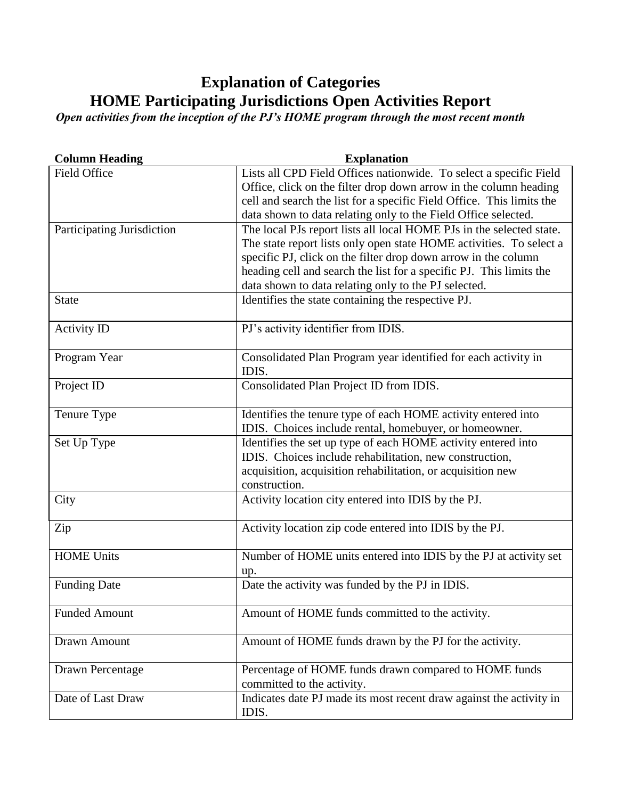## **Explanation of Categories HOME Participating Jurisdictions Open Activities Report**

*Open activities from the inception of the PJ's HOME program through the most recent month*

| <b>Column Heading</b>      | <b>Explanation</b>                                                    |
|----------------------------|-----------------------------------------------------------------------|
| Field Office               | Lists all CPD Field Offices nationwide. To select a specific Field    |
|                            | Office, click on the filter drop down arrow in the column heading     |
|                            | cell and search the list for a specific Field Office. This limits the |
|                            | data shown to data relating only to the Field Office selected.        |
| Participating Jurisdiction | The local PJs report lists all local HOME PJs in the selected state.  |
|                            | The state report lists only open state HOME activities. To select a   |
|                            | specific PJ, click on the filter drop down arrow in the column        |
|                            | heading cell and search the list for a specific PJ. This limits the   |
|                            | data shown to data relating only to the PJ selected.                  |
| <b>State</b>               | Identifies the state containing the respective PJ.                    |
|                            |                                                                       |
| <b>Activity ID</b>         | PJ's activity identifier from IDIS.                                   |
| Program Year               | Consolidated Plan Program year identified for each activity in        |
|                            | IDIS.                                                                 |
| Project ID                 | Consolidated Plan Project ID from IDIS.                               |
|                            |                                                                       |
| Tenure Type                | Identifies the tenure type of each HOME activity entered into         |
|                            | IDIS. Choices include rental, homebuyer, or homeowner.                |
| Set Up Type                | Identifies the set up type of each HOME activity entered into         |
|                            | IDIS. Choices include rehabilitation, new construction,               |
|                            | acquisition, acquisition rehabilitation, or acquisition new           |
|                            | construction.                                                         |
| City                       | Activity location city entered into IDIS by the PJ.                   |
|                            |                                                                       |
| Zip                        | Activity location zip code entered into IDIS by the PJ.               |
|                            |                                                                       |
| <b>HOME Units</b>          | Number of HOME units entered into IDIS by the PJ at activity set      |
|                            | up.                                                                   |
| <b>Funding Date</b>        | Date the activity was funded by the PJ in IDIS.                       |
|                            |                                                                       |
| <b>Funded Amount</b>       | Amount of HOME funds committed to the activity.                       |
|                            |                                                                       |
| Drawn Amount               | Amount of HOME funds drawn by the PJ for the activity.                |
|                            |                                                                       |
| Drawn Percentage           | Percentage of HOME funds drawn compared to HOME funds                 |
|                            | committed to the activity.                                            |
| Date of Last Draw          | Indicates date PJ made its most recent draw against the activity in   |
|                            | IDIS.                                                                 |